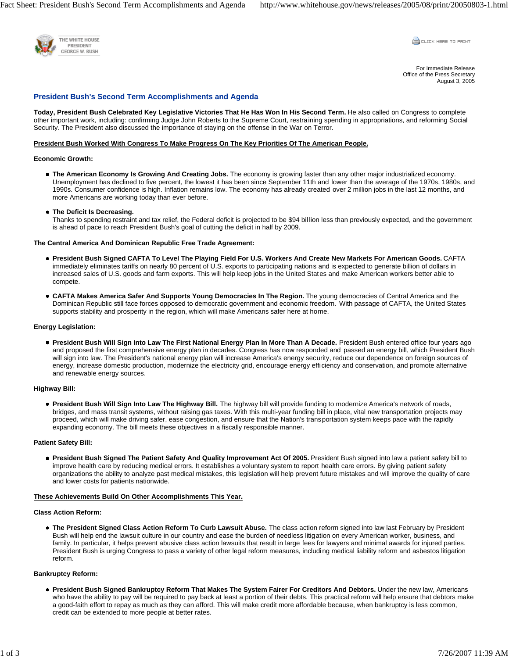

**CLICK HERE TO PRINT** 

For Immediate Release Office of the Press Secretary August 3, 2005

# **President Bush's Second Term Accomplishments and Agenda**

**Today, President Bush Celebrated Key Legislative Victories That He Has Won In His Second Term.** He also called on Congress to complete other important work, including: confirming Judge John Roberts to the Supreme Court, restraining spending in appropriations, and reforming Social Security. The President also discussed the importance of staying on the offense in the War on Terror.

## **President Bush Worked With Congress To Make Progress On The Key Priorities Of The American People.**

### **Economic Growth:**

**The American Economy Is Growing And Creating Jobs.** The economy is growing faster than any other major industrialized economy. Unemployment has declined to five percent, the lowest it has been since September 11th and lower than the average of the 1970s, 1980s, and 1990s. Consumer confidence is high. Inflation remains low. The economy has already created over 2 million jobs in the last 12 months, and more Americans are working today than ever before.

**The Deficit Is Decreasing.**

Thanks to spending restraint and tax relief, the Federal deficit is projected to be \$94 billion less than previously expected, and the government is ahead of pace to reach President Bush's goal of cutting the deficit in half by 2009.

## **The Central America And Dominican Republic Free Trade Agreement:**

- **President Bush Signed CAFTA To Level The Playing Field For U.S. Workers And Create New Markets For American Goods.** CAFTA immediately eliminates tariffs on nearly 80 percent of U.S. exports to participating nations and is expected to generate billion of dollars in increased sales of U.S. goods and farm exports. This will help keep jobs in the United States and make American workers better able to compete.
- **CAFTA Makes America Safer And Supports Young Democracies In The Region.** The young democracies of Central America and the Dominican Republic still face forces opposed to democratic government and economic freedom. With passage of CAFTA, the United States supports stability and prosperity in the region, which will make Americans safer here at home.

### **Energy Legislation:**

**President Bush Will Sign Into Law The First National Energy Plan In More Than A Decade.** President Bush entered office four years ago and proposed the first comprehensive energy plan in decades. Congress has now responded and passed an energy bill, which President Bush will sign into law. The President's national energy plan will increase America's energy security, reduce our dependence on foreign sources of energy, increase domestic production, modernize the electricity grid, encourage energy efficiency and conservation, and promote alternative and renewable energy sources.

#### **Highway Bill:**

**President Bush Will Sign Into Law The Highway Bill.** The highway bill will provide funding to modernize America's network of roads, bridges, and mass transit systems, without raising gas taxes. With this multi-year funding bill in place, vital new transportation projects may proceed, which will make driving safer, ease congestion, and ensure that the Nation's transportation system keeps pace with the rapidly expanding economy. The bill meets these objectives in a fiscally responsible manner.

#### **Patient Safety Bill:**

**President Bush Signed The Patient Safety And Quality Improvement Act Of 2005.** President Bush signed into law a patient safety bill to improve health care by reducing medical errors. It establishes a voluntary system to report health care errors. By giving patient safety organizations the ability to analyze past medical mistakes, this legislation will help prevent future mistakes and will improve the quality of care and lower costs for patients nationwide.

# **These Achievements Build On Other Accomplishments This Year.**

#### **Class Action Reform:**

**The President Signed Class Action Reform To Curb Lawsuit Abuse.** The class action reform signed into law last February by President Bush will help end the lawsuit culture in our country and ease the burden of needless litigation on every American worker, business, and family. In particular, it helps prevent abusive class action lawsuits that result in large fees for lawyers and minimal awards for injured parties. President Bush is urging Congress to pass a variety of other legal reform measures, including medical liability reform and asbestos litigation reform.

### **Bankruptcy Reform:**

**President Bush Signed Bankruptcy Reform That Makes The System Fairer For Creditors And Debtors.** Under the new law, Americans who have the ability to pay will be required to pay back at least a portion of their debts. This practical reform will help ensure that debtors make a good-faith effort to repay as much as they can afford. This will make credit more affordable because, when bankruptcy is less common, credit can be extended to more people at better rates.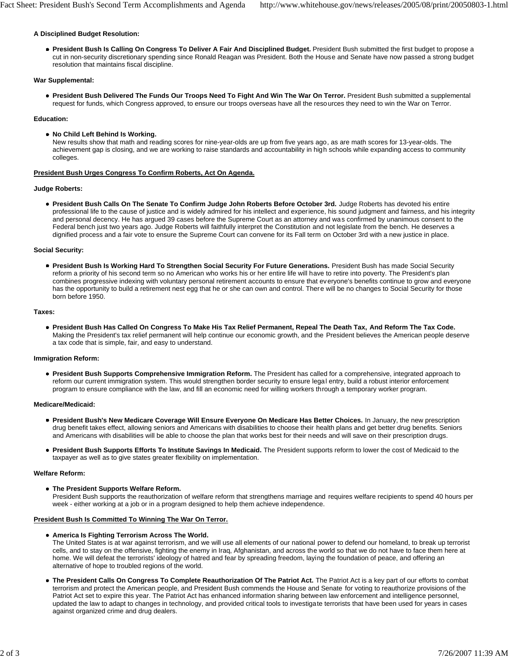## **A Disciplined Budget Resolution:**

**President Bush Is Calling On Congress To Deliver A Fair And Disciplined Budget.** President Bush submitted the first budget to propose a cut in non-security discretionary spending since Ronald Reagan was President. Both the House and Senate have now passed a strong budget resolution that maintains fiscal discipline.

## **War Supplemental:**

**President Bush Delivered The Funds Our Troops Need To Fight And Win The War On Terror.** President Bush submitted a supplemental request for funds, which Congress approved, to ensure our troops overseas have all the resources they need to win the War on Terror.

## **Education:**

**No Child Left Behind Is Working.**

New results show that math and reading scores for nine-year-olds are up from five years ago, as are math scores for 13-year-olds. The achievement gap is closing, and we are working to raise standards and accountability in high schools while expanding access to community colleges.

## **President Bush Urges Congress To Confirm Roberts, Act On Agenda.**

## **Judge Roberts:**

**President Bush Calls On The Senate To Confirm Judge John Roberts Before October 3rd.** Judge Roberts has devoted his entire professional life to the cause of justice and is widely admired for his intellect and experience, his sound judgment and fairness, and his integrity and personal decency. He has argued 39 cases before the Supreme Court as an attorney and was confirmed by unanimous consent to the Federal bench just two years ago. Judge Roberts will faithfully interpret the Constitution and not legislate from the bench. He deserves a dignified process and a fair vote to ensure the Supreme Court can convene for its Fall term on October 3rd with a new justice in place.

### **Social Security:**

**President Bush Is Working Hard To Strengthen Social Security For Future Generations.** President Bush has made Social Security reform a priority of his second term so no American who works his or her entire life will have to retire into poverty. The President's plan combines progressive indexing with voluntary personal retirement accounts to ensure that everyone's benefits continue to grow and everyone has the opportunity to build a retirement nest egg that he or she can own and control. There will be no changes to Social Security for those born before 1950.

#### **Taxes:**

**President Bush Has Called On Congress To Make His Tax Relief Permanent, Repeal The Death Tax, And Reform The Tax Code.** Making the President's tax relief permanent will help continue our economic growth, and the President believes the American people deserve a tax code that is simple, fair, and easy to understand.

#### **Immigration Reform:**

**President Bush Supports Comprehensive Immigration Reform.** The President has called for a comprehensive, integrated approach to reform our current immigration system. This would strengthen border security to ensure legal entry, build a robust interior enforcement program to ensure compliance with the law, and fill an economic need for willing workers through a temporary worker program.

#### **Medicare/Medicaid:**

- **President Bush's New Medicare Coverage Will Ensure Everyone On Medicare Has Better Choices.** In January, the new prescription drug benefit takes effect, allowing seniors and Americans with disabilities to choose their health plans and get better drug benefits. Seniors and Americans with disabilities will be able to choose the plan that works best for their needs and will save on their prescription drugs.
- **President Bush Supports Efforts To Institute Savings In Medicaid.** The President supports reform to lower the cost of Medicaid to the taxpayer as well as to give states greater flexibility on implementation.

#### **Welfare Reform:**

**The President Supports Welfare Reform.**

President Bush supports the reauthorization of welfare reform that strengthens marriage and requires welfare recipients to spend 40 hours per week - either working at a job or in a program designed to help them achieve independence.

## **President Bush Is Committed To Winning The War On Terror.**

- **America Is Fighting Terrorism Across The World.** The United States is at war against terrorism, and we will use all elements of our national power to defend our homeland, to break up terrorist cells, and to stay on the offensive, fighting the enemy in Iraq, Afghanistan, and across the world so that we do not have to face them here at home. We will defeat the terrorists' ideology of hatred and fear by spreading freedom, laying the foundation of peace, and offering an alternative of hope to troubled regions of the world.
- **The President Calls On Congress To Complete Reauthorization Of The Patriot Act.** The Patriot Act is a key part of our efforts to combat terrorism and protect the American people, and President Bush commends the House and Senate for voting to reauthorize provisions of the Patriot Act set to expire this year. The Patriot Act has enhanced information sharing between law enforcement and intelligence personnel, updated the law to adapt to changes in technology, and provided critical tools to investigate terrorists that have been used for years in cases against organized crime and drug dealers.